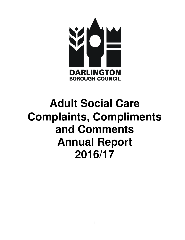

# **Adult Social Care Complaints, Compliments and Comments Annual Report 2016/17**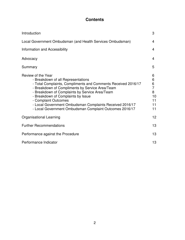# **Contents**

| Introduction                                                                                                                                                                                                                                                                                                                                                                                                        | 3                                                          |  |  |
|---------------------------------------------------------------------------------------------------------------------------------------------------------------------------------------------------------------------------------------------------------------------------------------------------------------------------------------------------------------------------------------------------------------------|------------------------------------------------------------|--|--|
| Local Government Ombudsman (and Health Services Ombudsman)                                                                                                                                                                                                                                                                                                                                                          |                                                            |  |  |
| Information and Accessibility                                                                                                                                                                                                                                                                                                                                                                                       | 4                                                          |  |  |
| Advocacy                                                                                                                                                                                                                                                                                                                                                                                                            | 4                                                          |  |  |
| Summary                                                                                                                                                                                                                                                                                                                                                                                                             | 5                                                          |  |  |
| Review of the Year<br>- Breakdown of all Representations<br>- Total Complaints, Compliments and Comments Received 2016/17<br>- Breakdown of Compliments by Service Area/Team<br>- Breakdown of Complaints by Service Area/Team<br>- Breakdown of Complaints by Issue<br>- Complaint Outcomes<br>- Local Government Ombudsman Complaints Received 2016/17<br>- Local Government Ombudsman Complaint Outcomes 2016/17 | 6<br>6<br>6<br>$\overline{7}$<br>8<br>10<br>11<br>11<br>11 |  |  |
| <b>Organisational Learning</b>                                                                                                                                                                                                                                                                                                                                                                                      | 12                                                         |  |  |
| <b>Further Recommendations</b>                                                                                                                                                                                                                                                                                                                                                                                      | 13                                                         |  |  |
| Performance against the Procedure                                                                                                                                                                                                                                                                                                                                                                                   | 13                                                         |  |  |
| Performance Indicator                                                                                                                                                                                                                                                                                                                                                                                               | 13                                                         |  |  |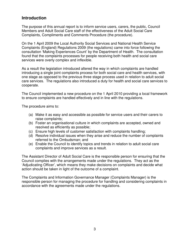# **Introduction**

The purpose of this annual report is to inform service users, carers, the public, Council Members and Adult Social Care staff of the effectiveness of the Adult Social Care Complaints, Compliments and Comments Procedure (the procedure).

On the 1 April 2009 the Local Authority Social Services and National Health Service Complaints (England) Regulations 2009 (the regulations) came into force following the consultation 'Making Experiences Count' by the Department of Health. The consultation found that the complaints processes for people receiving both health and social care services were overly complex and inflexible.

As a result the legislation introduced altered the way in which complaints are handled introducing a single joint complaints process for both social care and health services, with one stage as opposed to the previous three stage process used in relation to adult social care services. The regulations also introduced a duty for health and social care services to cooperate.

The Council implemented a new procedure on the 1 April 2010 providing a local framework to ensure complaints are handled effectively and in line with the regulations.

The procedure aims to:

- (a) Make it as easy and accessible as possible for service users and their carers to raise complaints;
- (b) Foster an organisational culture in which complaints are accepted, owned and resolved as efficiently as possible;
- (c) Ensure high levels of customer satisfaction with complaints handling;
- (d) Resolve individual issues when they arise and reduce the number of complaints referred to the Ombudsman; and
- (e) Enable the Council to identify topics and trends in relation to adult social care complaints and improve services as a result.

The Assistant Director of Adult Social Care is the responsible person for ensuring that the Council complies with the arrangements made under the regulations. They act as the 'Adjudicating Officer', which means they make decisions on complaints and decide what action should be taken in light of the outcome of a complaint.

The Complaints and Information Governance Manager (Complaints Manager) is the responsible person for managing the procedure for handling and considering complaints in accordance with the agreements made under the regulations.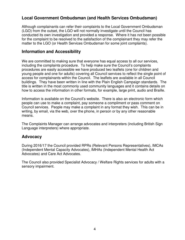# **Local Government Ombudsman (and Health Services Ombudsman)**

Although complainants can refer their complaints to the Local Government Ombudsman (LGO) from the outset, the LGO will not normally investigate until the Council has conducted its own investigation and provided a response. Where it has not been possible for the complaint to be resolved to the satisfaction of the complainant they may refer the matter to the LGO (or Health Services Ombudsman for some joint complaints).

## **Information and Accessibility**

We are committed to making sure that everyone has equal access to all our services, including the complaints procedure. To help make sure the Council's complaints procedures are easily accessible we have produced two leaflets (one for children and young people and one for adults) covering all Council services to reflect the single point of access for complainants within the Council. The leaflets are available in all Council buildings. They have been written in line with the Plain English Campaign standards. The title is written in the most commonly used community languages and it contains details on how to access the information in other formats, for example, large print, audio and Braille.

Information is available on the Council's website. There is also an electronic form which people can use to make a complaint, pay someone a compliment or pass comment on Council services. People may make a complaint in any format they wish. This can be in writing, by email, via the web, over the phone, in person or by any other reasonable means.

The Complaints Manager can arrange advocates and interpreters (including British Sign Language interpreters) where appropriate.

## **Advocacy**

During 2016/17 the Council provided RPRs (Relevant Persons Representatives), IMCAs (Independent Mental Capacity Advocates), IMHAs (Independent Mental Health Act Advocates) and Care Act Advocates.

The Council also provided Specialist Advocacy / Welfare Rights services for adults with a sensory impairment.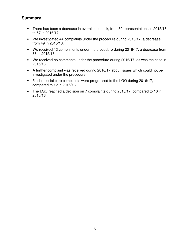# **Summary**

- There has been a decrease in overall feedback, from 89 representations in 2015/16 to 57 in 2016/17.
- We investigated 44 complaints under the procedure during 2016/17, a decrease from 49 in 2015/16.
- We received 13 compliments under the procedure during 2016/17, a decrease from 33 in 2015/16.
- We received no comments under the procedure during 2016/17, as was the case in 2015/16.
- A further complaint was received during 2016/17 about issues which could not be investigated under the procedure.
- 5 adult social care complaints were progressed to the LGO during 2016/17, compared to 12 in 2015/16.
- The LGO reached a decision on 7 complaints during 2016/17, compared to 10 in 2015/16.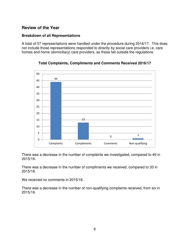# **Review of the Year**

## **Breakdown of all Representations**

A total of 57 representations were handled under the procedure during 2016/17. This does not include those representations responded to directly by social care providers i.e. care homes and home (domiciliary) care providers, as these fall outside the regulations.





There was a decrease in the number of complaints we investigated, compared to 49 in 2015/16.

There was a decrease in the number of compliments we received, compared to 33 in 2015/16.

We received no comments in 2015/16.

There was a decrease in the number of non-qualifying complaints received, from six in 2015/16.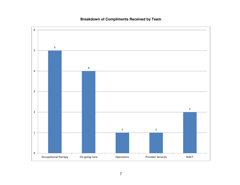## **Breakdown of Compliments Received by Team**

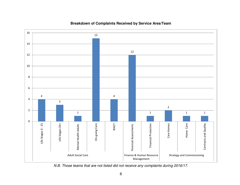

#### **Breakdown of Complaints Received by Service Area/Team**

N.B. Those teams that are not listed did not receive any complaints during 2016/17.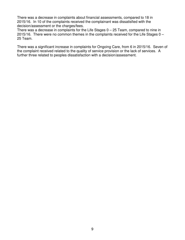There was a decrease in complaints about financial assessments, compared to 18 in 2015/16. In 10 of the complaints received the complainant was dissatisfied with the decision/assessment or the charges/fees.

There was a decrease in complaints for the Life Stages  $0 - 25$  Team, compared to nine in 2015/16. There were no common themes in the complaints received for the Life Stages  $0 -$ 25 Team.

There was a significant increase in complaints for Ongoing Care, from 6 in 2015/16. Seven of the complaint received related to the quality of service provision or the lack of services. A further three related to peoples dissatisfaction with a decision/assessment.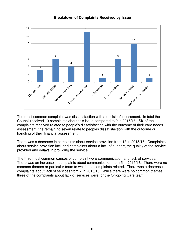

#### **Breakdown of Complaints Received by Issue**

The most common complaint was dissatisfaction with a decision/assessment. In total the Council received 13 complaints about this issue compared to 9 in 2015/16. Six of the complaints received related to people's dissatisfaction with the outcome of their care needs assessment, the remaining seven relate to peoples dissatisfaction with the outcome or handling of their financial assessment.

There was a decrease in complaints about service provision from 18 in 2015/16. Complaints about service provision included complaints about a lack of support, the quality of the service provided and delays in providing the service.

The third most common causes of complaint were communication and lack of services. There was an increase in complaints about communication from 5 in 2015/16. There were no common themes or particular team to which the complaints related. There was a decrease in complaints about lack of services from 7 in 2015/16. While there were no common themes, three of the complaints about lack of services were for the On-going Care team.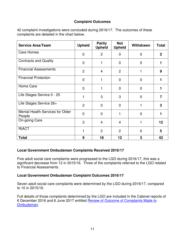## **Complaint Outcomes**

42 complaint investigations were concluded during 2016/17. The outcomes of these complaints are detailed in the chart below.

| <b>Service Area/Team</b>                   | <b>Upheld</b>  | <b>Partly</b><br><b>Upheld</b> | <b>Not</b><br><b>Upheld</b> | Withdrawn      | <b>Total</b> |
|--------------------------------------------|----------------|--------------------------------|-----------------------------|----------------|--------------|
| <b>Care Homes</b>                          | $\mathbf 0$    | $\overline{2}$                 | $\mathbf 0$                 | $\overline{0}$ | $\mathbf{2}$ |
| <b>Contracts and Quality</b>               | $\Omega$       |                                | $\overline{0}$              | $\overline{0}$ |              |
| <b>Financial Assessments</b>               | $\overline{2}$ | 4                              | $\overline{2}$              |                | 9            |
| <b>Financial Protection</b>                | $\overline{0}$ |                                | $\mathbf 0$                 | $\overline{0}$ | 1            |
| Home Care                                  | $\overline{0}$ | 1                              | $\mathbf 0$                 | $\mathbf 0$    | 1            |
| Life Stages Service 0 - 25                 |                | 3                              | 3                           | $\overline{0}$ | 7            |
| Life Stages Service 26+                    | $\overline{2}$ | $\Omega$                       | $\Omega$                    |                | 3            |
| Mental Health Services for Older<br>People | $\Omega$       | $\Omega$                       | 1                           | $\overline{0}$ | 1            |
| <b>On-going Care</b>                       | 3              | 4                              | 4                           | 1              | 12           |
| <b>RIACT</b>                               | $\mathbf{1}$   | $\overline{2}$                 | $\overline{2}$              | $\overline{0}$ | 5            |
| <b>Total</b>                               | 9              | 18                             | 12                          | 3              | 42           |

#### **Local Government Ombudsman Complaints Received 2016/17**

Five adult social care complaints were progressed to the LGO during 2016/17, this was a significant decrease from 12 in 2015/16. Three of the complaints referred to the LGO related to Financial Assessments.

#### **Local Government Ombudsman Complaint Outcomes 2016/17**

Seven adult social care complaints were determined by the LGO during 2016/17, compared to 10 in 2015/16.

Full details of those complaints determined by the LGO are included in the Cabinet reports of 6 December 2016 and 6 June 2017 entitled Review of Outcome of Complaints Made to Ombudsman.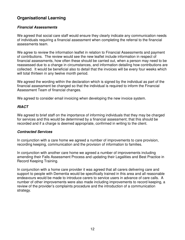# **Organisational Learning**

## **Financial Assessments**

We agreed that social care staff would ensure they clearly indicate any communication needs of individuals requiring a financial assessment when completing the referral to the financial assessments team.

We agree to review the information leaflet in relation to Financial Assessments and payment of contributions. The review would see the new leaflet include information in respect of financial assessments, how often these should be carried out, when a person may need to be reassessed due to a change in circumstances, and information detailing how contributions are collected. It would be beneficial also to detail that the invoices will be every four weeks which will total thirteen in any twelve month period.

We agreed the wording within the declaration which is signed by the individual as part of the financial assessment be changed so that the individual is required to inform the Financial Assessment Team of financial changes.

We agreed to consider email invoicing when developing the new invoice system.

#### **RIACT**

We agreed to brief staff on the importance of informing individuals that they may be charged for services and this would be determined by a financial assessment; that this should be recorded and if a charge is deemed appropriate, confirmed in writing to the client.

#### **Contracted Services**

In conjunction with a care home we agreed a number of improvements to care provision, recording keeping, communication and the provision of information to families.

In conjunction with another care home we agreed a number of improvements including amending their Falls Assessment Process and updating their Legalities and Best Practice in Record Keeping Training.

In conjunction with a home care provider it was agreed that all carers delivering care and support to people with Dementia would be specifically trained in this area and all reasonable endeavours would be made to introduce carers to service users in advance of care calls. A number of other improvements were also made including improvements to record keeping, a review of the provider's complaints procedure and the introduction of a communication strategy.